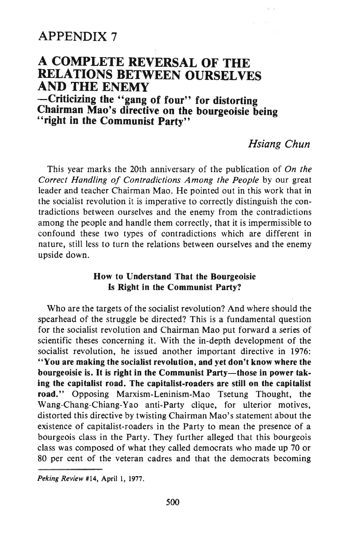# A COMPLETE REVERSAL OF THE RELATIONS BETWEEN OURSELYES AND THE ENEMY

## -Criticizing the "gang of four" for distorting Chairman Mao's directive on the bourgeoisie being "right in the Communist Party"

### Hsiang Chun

This year marks the 20th anniversary of the publication of On the Correct Handling of Contradictions Among the People by our great leader and teacher Chairman Mao. He pointed out in this work that in the socialist revolution it is imperative to correctly distinguish the contradictions between ourselves and the enemy from the contradictions among the people and handle them correctly, that it is impermissible to confound these two types of contradictions which are different in nature, still less to turn the relations between ourselves and the enemy upside down.

#### How to Understand That the Bourgeoisie Is Right in the Communist Party?

Who are the targets of the socialist revolution? And where should the spearhead of the struggle be directed? This is a fundamental question for the socialist revolution and Chairman Mao put forward a series of scientific theses concerning it. With the in-depth development of the socialist revolution, he issued another important directive in 1976: "You are making the socialist revolution, and yet don't know where the bourgeoisie is. It is right in the Communist Party-those in power taking the capitalist road. The capitalist-roaders are still on the capitalist road." Opposing Marxism-Leninism-Mao Tsetung Thought, the Wang-Chang-Chiang-Yao anti-Party clique, for ulterior motives, distorted this directive by twisting Chairman Mao's statement about the existence of capitalist-roaders in the Party to mean the presence of <sup>a</sup> bourgeois class in the Party. They further alleged that this bourgeois class was composed of what they called democrats who made up 70 or 80 per cent of the veteran cadres and that the democrats becoming

Peking Review #14, April l, 1971.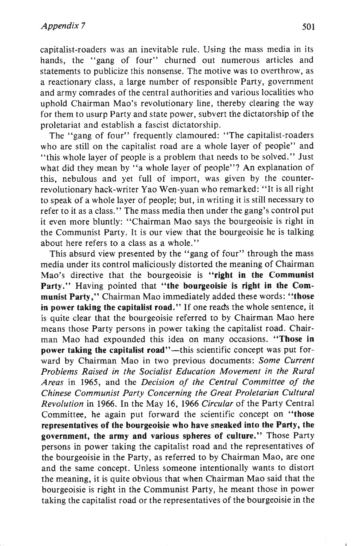capitalist-roaders was an inevitable rule. Using the mass media in its hands, the "gang of four" churned out numerous articles and statements to publicize this nonsense. The motive was to overthrow, as a reactionary class, a large number of responsible Party, government and army comrades of the central authorities and various localities who uphold Chairman Mao's revolutionary line, thereby clearing the way for them to usurp Party and state power, subvert the dictatorship of the proletariat and establish a fascist dictatorship.

The "gang of four" frequently clamoured: "The capitalist-roaders who are still on the capitalist road are a whole layer of people" and "this whole layer of people is a problem that needs to be solved." Just what did they mean by "a whole layer of people"? An explanation of this, nebulous and yet full of import, was given by the counterrevolutionary hack-writer Yao Wen-yuan who remarked: "It is all right to speak of a whole layer of people; but, in writing it is still necessary to refer to it as a class." The mass media then under the gang's control put it even more bluntly: "Chairman Mao says the bourgeoisie is right in the Communist Party. It is our view that the bourgeoisie he is talking about here refers to a class as a whole."

This absurd view presented by the "gang of four" through the mass media under its control maliciously distorted the meaning of Chairman Mao's directive that the bourgeoisie is "right in the Communist Party." Having pointed that "the bourgeoisie is right in the Communist Party," Chairman Mao immediately added these words: "those in power taking the capitalist road." If one reads the whole sentence, it is quite clear that the bourgeoisie referred to by Chairman Mao here means those Party persons in power taking the capitalist road. Chairman Mao had expounded this idea on many occasions. "Those in power taking the capitalist road"-this scientific concept was put forward by Chairman Mao in two previous documents: Some Current Problems Raised in the Socialist Education Movement in the Rural Areas in 1965, and the Decision of the Central Committee of the Chinese Communist Party Concerning the Great Proletarian Cultural Revolution in 1966. In the May 16, 1966 Circular of the Party Central Committee, he again put forward the scientific concept on "those representatives of the bourgeoisie who have sneaked into the Party, the government, the army and various spheres of culture." Those Party persons in power taking the capitalist road and the representatives of the bourgeoisie in the Party, as referred to by Chairman Mao, are one and the same concept. Unless someone intentionally wants to distort the meaning, it is quite obvious that when Chairman Mao said that the bourgeoisie is right in the Communist Party, he meant those in power taking the capitalist road or the representatives of the bourgeoisie in the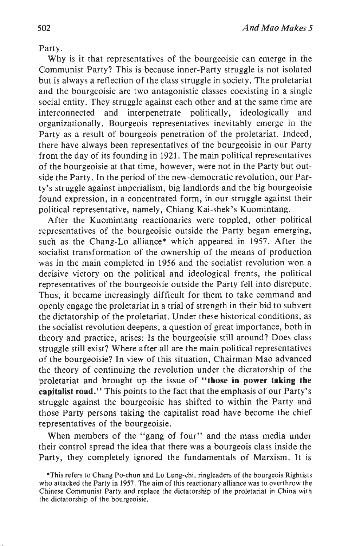Why is it that representatives of the bourgeoisie can emerge in the Communist Party? This is because inner-Party struggle is not isolated but is always a reflection of the class struggle in society. The proletariat and the bourgeoisie are two antagonistic classes coexisting in a single social entity. They struggle against each other and at the same time are interconnected and interpenetrate politically, ideologically and organizationally. Bourgeois representatives inevitably emerge in the Party as a result of bourgeois penetration of the proletariat. Indeed, there have always been representatives of the bourgeoisie in our Party from the day of its founding in 1921. The main political representatives of the bourgeoisie at that time, however, were not in the Party but outside the Party. In the period of the new-democratic revolution, our Party's struggle against imperialism, big landlords and the big bourgeoisie found expression, in a concentrated form, in our struggle against their political representative, namely, Chiang Kai-shek's Kuomintang.

After the Kuomintang reactionaries were toppled, other political representatives of the bourgeoisie outside the Party began emerging, such as the Chang-Lo alliance\* which appeared in 1957. After the socialist transformation of the ownership of the means of production was in the main completed in 1956 and the socialist revolution won <sup>a</sup> decisive victory on the political and ideological fronts, the political representatives of the bourgeoisie outside the Party fell into disrepute. Thus, it became increasingly difficult for them to take command and openly engage the proletariat in a trial of strength in their bid to subvert the dictatorship of the proletariat. Under these historical conditions, as the socialist revolution deepens, a question of great importance, both in theory and practice, arises: Is the bourgeoisie still around? Does class struggle still exist? Where after all are the main political representatives of the bourgeoisie? In view of this situation, Chairman Mao advanced the theory of continuing the revolution under the dictatorship of the proletariat and brought up the issue of "those in power taking the capitalist road." This points to the fact that the emphasis of our Party's struggle against the bourgeoisie has shifted to within the Party and those Party persons taking the capitalist road have become the chief representatives of the bourgeoisie.

When members of the "gang of four" and the mass media under their control spread the idea that there was a bourgeois class inside the Party, they completely ignored the fundamentals of Marxism. It is

rThis refers to Chang Po-chun and Lo Lung-chi, ringleaders of the bourgeois Rightists who attacked the Party in 1957. The aim of this reactionary alliance was to overthrow the Chinese Communist Party, and replace the dictatorship of the proletariat in China with the dictatorship of the bourgeoisie.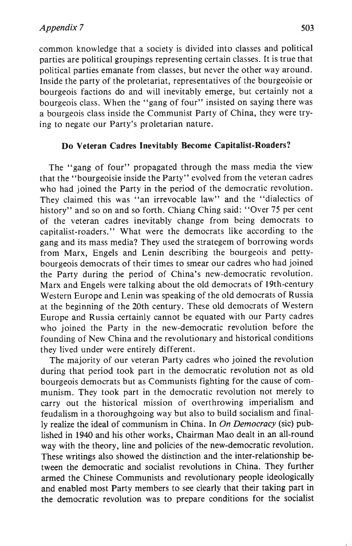common knowledge that a society is divided into classes and political parties are political groupings representing certain classes. It is true that political parties emanate from classes, but never the other way around. Inside the party of the proletariat, representatives of the bourgeoisie or bourgeois factions do and will inevitably emerge, but certainly not <sup>a</sup> bourgeois class. When the "gang of four" insisted on saying there was a bourgeois class inside the Communist Party of China, they were trying to negate our Party's proletarian nature.

### Do Yeteran Cadres Inevitably Become Capitalist-Roaders?

The "gang of four" propagated through the mass media the view that the "bourgeoisie inside the Party" evolved from the veteran cadres who had joined the Party in the period of the democratic revolution. They claimed this was "an irrevocable law" and the "dialectics of history" and so on and so forth. Chiang Ching said: "Over 75 per cent of the veteran cadres inevitably change from being democrats to capitalist-roaders." What were the democrats like according to the gang and its mass media? They used the strategem of borrowing words from Marx, Engels and Lenin describing the bourgeois and pettybourgeois democrats of their times to smear our cadres who had joined the Party during the period of China's new-democratic revolution. Marx and Engels were talking about the old democrats of l9th-century Western Europe and Lenin was speaking of the old democrats of Russia at the beginning of the 20th century. These old democrats of Western Europe and Russia certainly cannot be equated with our Party cadres who joined the Party in the new-democratic revolution before the founding of New China and the revolutionary and historical conditions they lived under were entirely different.

The majority of our veteran Party cadres who joined the revolution during that period took part in the democratic revolution not as old bourgeois democrats but as Communists fighting for the cause of communism. They took part in the democratic revolution not merely to carry out the historical mission of overthrowing imperialism and feudalism in a thoroughgoing way but also to build socialism and finally realize the ideal of communism in China. In On Democracy (sic) pub-Iished in 1940 and his other works, Chairman Mao dealt in an all-round way with the theory, Iine and policies of the new-democratic revolution. These writings also showed the distinction and the inter-relationship between the democratic and socialist revolutions in China. They further armed the Chinese Communists and revolutionary people ideologically and enabled most Party members to see clearly that their taking part in the democratic revolution was to prepare conditions for the socialist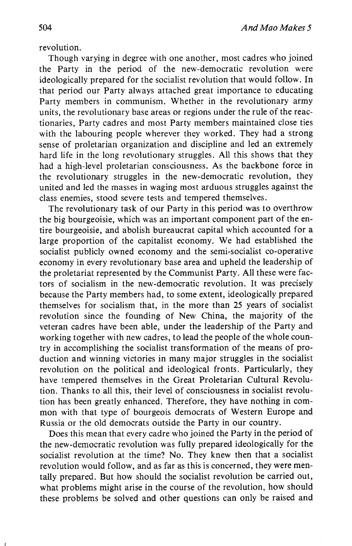revolution.

Though varying in degree with one another, most cadres who joined the Party in the period of the new-democratic revolution were ideologically prepared for the socialist revolution that would follow. In that period our Party always attached great importance to educating Party members in communism. Whether in the revolutionary army units, the revolutionary base areas or regions under the rule of the reactionaries, Party cadres and most Party members maintained close ties with the labouring people wherever they worked. They had a strong sense of proletarian organization and discipline and led an extremely hard life in the long revolutionary struggles. All this shows that they had a high-level proletarian consciousness. As the backbone force in the revolutionary struggles in the new-democratic revolution, they united and led the masses in waging most arduous struggles against the class enemies, stood severe tests and tempered themselves.

The revolutionary task of our Party in this period was to overthrow the big bourgeoisie, which was an important component part of the entire bourgeoisie, and abolish bureaucrat capital which accounted for <sup>a</sup> large proportion of the capitalist economy. We had established the socialist publicly owned economy and the semi-socialist co-operative economy in every revolutionary base area and upheld the leadership of the proletariat represented by the Communist Party. All these were factors of socialism in the new-democratic revolution. It was precisely because the Party members had, to some extent, ideologically prepared themselves for socialism that, in the more than 25 years of socialist revolution since the founding of New China, the majority of the veteran cadres have been able, under the leadership of the Party and working together with new cadres, to lead the people of the whole country in accomplishing the socialist transformation of the means of production and winning victories in many major struggles in the socialist revolution on the political and ideological fronts. Particularly, they have tempered themselves in the Great Proletarian Cultural Revolution. Thanks to all this, their level of consciousness in socialist revolution has been greatly enhanced. Therefore, they have nothing in common with that type of bourgeois democrats of Western Europe and Russia or the old democrats outside the Party in our country.

Does this mean that every cadre who joined the Party in the period of the new-democratic revolution was fully prepared ideologically for the socialist revolution at the time? No. They knew then that a socialist revolution would follow, and as far as this is concerned, they were mentally prepared. But how should the socialist revolution be carried out, what problems might arise in the course of the revolution, how should these problems be solved and other questions can only be raised and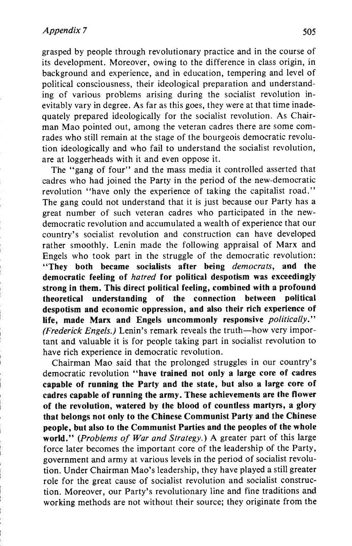grasped by people through revolutionary practice and in the course of its development. Moreover, owing to the difference in class origin, in background and experience, and in education, tempering and level of political consciousness, their ideological preparation and understanding of various problems arising during the socialist revolution inevitably vary in degree. As far as this goes, they were at that time inadequately prepared ideologically for the socialist revolution. As Chairman Mao pointed out, among the veteran cadres there are some comrades who still remain at the stage of the bourgeois democratic revolution ideologically and who fail to understand the socialist revolution, are at loggerheads with it and even oppose it.

The "gang of four" and the mass media it controlled asserted that cadres who had joined the Party in the period of the new-democratic revolution "have only the experience of taking the capitalist road." The gang could not understand that it is just because our Party has <sup>a</sup> great number of such veteran cadres who participated in the newdemocratic revolution and accumulated a wealth of experience that our country's socialist revolution and construction can have developed rather smoothly. Lenin made the following appraisal of Marx and Engels who took part in the struggle of the democratic revolution: "They both became socialists after being democrats, and the democratic feeling of hatred for political despotism was exceedingly strong in them. This direct political feeling, combined with a profound theoretical understanding of the connection between political despotism and economic oppression, and also their rich experience of life, made Marx and Engels uncommonly responsive *politically.*" (Frederick Engels.) Lenin's remark reveals the truth-how very important and valuable it is for people taking part in socialist revolution to have rich experience in democratic revolution.

Chairman Mao said that the prolonged struggles in our country's democratic revolution "have trained not only a large core of cadres capable of running the Party and the state, but also a large core of cadres capable of running the army. These achievements are the flower of the revolution, watered by the blood of countless martyrs, a glory that belongs not only to the Chinese Communist Party and the Chinese people, but also to the Communist Parties and the peoples of the whole world." (Problems of War and Strategy.) A greater part of this large force later becomes the important core of the leadership of the Party, government and army at various levels in the period of socialist revolution. Under Chairman Mao's leadership, they have played a still greater role for the great cause of socialist revolution and socialist construction. Moreover, our Party's revolutionary line and fine traditions ard working methods are not without their source; they originate from the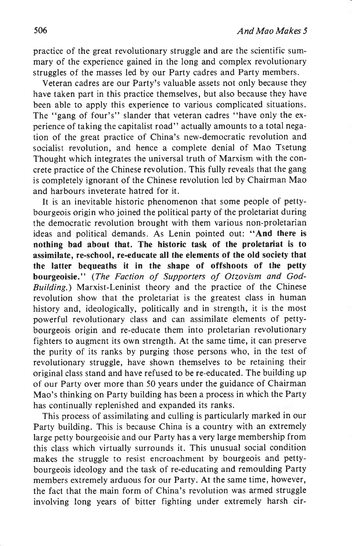practice of the great revolutionary struggle and are the scientific summary of the experience gained in the long and complex revolutionary struggles of the masses led by our Party cadres and Party members.

Veteran cadres are our Party's valuable assets not only because they have taken part in this practice themselves, but also because they have been able to apply this experience to various complicated situations. The "gang of four's" slander that veteran cadres "have only the experience of taking the capitalist road" actually amounts to a total negation of the great practice of China's new-democratic revolution and socialist revolution, and hence a complete denial of Mao Tsetung Thought which integrates the universal truth of Marxism with the concrete practice of the Chinese revolution. This fully reveals that the gang is completely ignorant of the Chinese revolution led by Chairman Mao and harbours inveterate hatred for it.

It is an inevitable historic phenomenon that some people of pettybourgeois origin who joined the political party of the proletariat during the democratic revolution brought with them various non-proletarian ideas and political demands. As Lenin pointed out: "And there is nothing bad about that. The historic task of the proletariat is to assimilate, re-school, re-educate all the elements of the old society that the latter bequeaths it in the shape of offshoots of the petty bourgeoisie." (The Faction of Supporters of Otzovism and God-Building.) Marxist-Leninist theory and the practice of the Chinese revolution show that the proletariat is the greatest class in human history and, ideologically, politically and in strength, it is the most powerful revolutionary class and can assimilate elements of pettybourgeois origin and re-educate them into proletarian revolutionary fighters to augment its own strength. At the same time, it can preserve the purity of its ranks by purging those persons who, in the test of revolutionary struggle, have shown themselves to be retaining their original class stand and have refused to be re-educated. The building up of our Party over more than 50 years under the guidance of Chairman Mao's thinking on Party building has been a process in which the Party has continually replenished and expanded its ranks.

This process of assimilating and culling is particularly marked in our Party building. This is because China is a country with an extremely large petty bourgeoisie and our Party has a very large membership from this class which virtually surrounds it. This unusual social condition makes the struggle to resist encroachment by bourgeois and pettybourgeois ideology and the task of re-educating and remoulding Party members extremely arduous for our Party. At the same time, however, the fact that the main form of China's revolution was armed struggle involving long years of bitter fighting under extremely harsh cir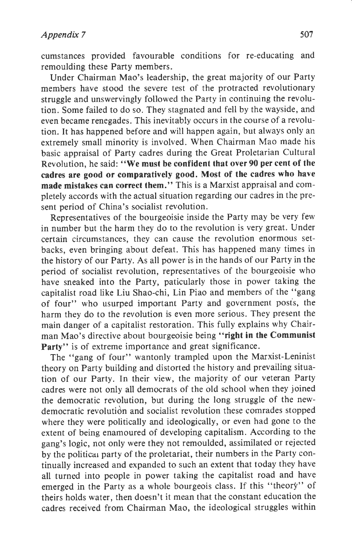cumstances provided favourable conditions for re-educating and remoulding these Party members.

Under Chairman Mao's leadership, the great majority of our Party members have stood the severe test of the protracted revolutionary struggle and unswervingly followed the Party in continuing the revolution. Some failed to do so. They stagnated and fell by the wayside, and even became renegades. This inevitably occurs in the course of a revolution. It has happened before and will happen again, but always only an extremely small minority is involved. When Chairman Mao made his basic appraisal of Party cadres during the Great Proletarian Cultural Revolution, he said: "We must be confident that over 90 per cent of the cadres are good or comparatively good. Most of the cadres who have made mistakes can correct them." This is a Marxist appraisal and completely accords with the actual situation regarding our cadres in the present period of China's socialist revolution.

Representatives of the bourgeoisie inside the Party may be very few in number but the harm they do to the revolution is very great. Under certain circumstances, they can cause the revolution enormous setbacks, even bringing about defeat. This has happened many times in the history of our Party. As all power is in the hands of our Party in the period of socialist revolution, representatives of the bourgeoisie who have sneaked into the Party, paticularly those in power taking the capitalist road like Liu Shao-chi, Lin Piao and members of the "gang of four" who usurped important Party and government posts, the harm they do to the revolution is even more serious. They present the main danger of a capitalist restoration. This fully explains why Chairman Mao's directive about bourgeoisie being "right in the Communist Party" is of extreme importance and great significance.

The "gang of four" wantonly trampled upon the Marxist-Leninist theory on Party building and distorted the history and prevailing situation of our Party. In their view, the majority of our veteran Party cadres were not only all democrats of the old school when they joined the democratic revolution, but during the long struggle of the newdemocratic revolution and socialist revolution these comrades stopped where they were politically and ideologically, or even had gone to the extent of being enamoured of developing capitalism. According to the gang's logic, not only were they not remoulded, assimilated or rejected by the politicar party of the proletariat, their numbers in the Party continually increased and expanded to such an extent that today they have all turned into people in power taking the capitalist road and have emerged in the Party as a whole bourgeois class. If this "theory" of theirs holds water, then doesn't it mean that the constant education the cadres received from Chairman Mao, the ideological struggles within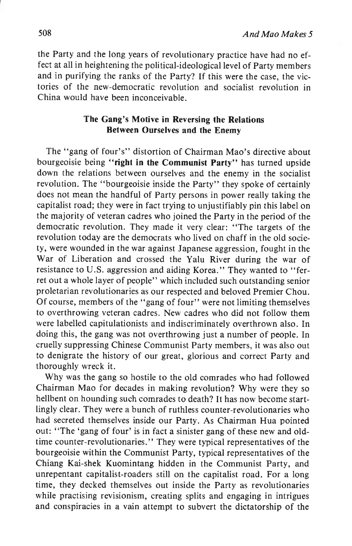the Party and the long years of revolutionary practice have had no effect at all in heightening the political-ideological level of Party members and in purifying the ranks of the Party? If this were the case, the victories of the new-democratic revolution and socialist revolution in China would have been inconceivable.

#### The Gang's Motive in Reversing the Relations Between Ourselves and the Enemy

The "gang of four's" distortion of Chairman Mao's directive about bourgeoisie being "right in the Communist Party" has turned upside down the relations between ourselves and the enemy in the socialist revolution. The "bourgeoisie inside the Party" they spoke of certainly does not mean the handful of Party persons in power really taking the capitalist road; they were in fact trying to unjustifiably pin this label on the majority of veteran cadres who joined the Party in the period of the democratic revolution. They made it very clear: "The targets of the revolution today are the democrats who lived on chaff in the old society, were wounded in the war against Japanese aggression, fought in the War of Liberation and crossed the Yalu River during the war of resistance to U.S. aggression and aiding Korea." They wanted to "ferret out a whole layer of people" which included such outstanding senior proletarian revolutionaries as our respected and beloved Premier Chou. Of course, members of the "gang of four" were not limiting themselves to overthrowing veteran cadres. New cadres who did not follow them were labelled capitulationists and indiscriminately overthrown also. In doing this, the gang was not overthrowing just a number of people. In cruelly suppressing Chinese Communist Party members, it was also out to denigrate the history of our great, glorious and correct Party and thoroughly wreck it.

Why was the gang so hostile to the old comrades who had followed Chairman Mao for decades in making revolution? Why were they so hellbent on hounding such comrades to death? It has now become startlingly clear. They were a bunch of ruthless counter-revolutionaries who had secreted themselves inside our Farty. As Chairman Hua pointed out: "The 'gang of four' is in fact a sinister gang of these new and oldtime counter-revolutionaries." They were typical representatives of the bourgeoisie within the Communist Party, typical representatives of the Chiang Kai-shek Kuomintang hidden in the Communist Party, and unrepentant capitalist-roaders still on the capitalist road. For a long time, they decked themselves out inside the Party as revolutionaries while practising revisionism, creating splits and engaging in intrigues and conspiracies in a vain attempt to subvert the dictatorship of the